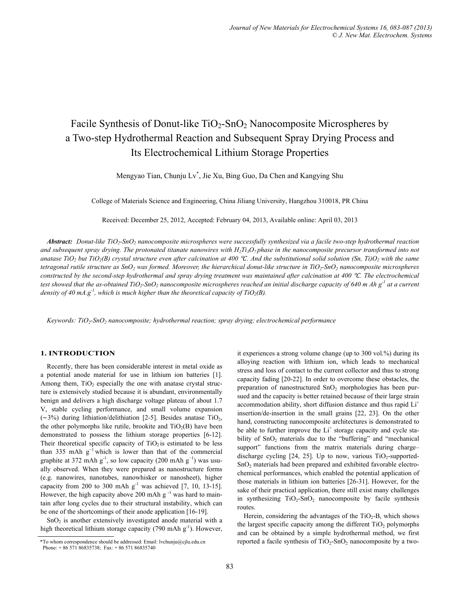# Facile Synthesis of Donut-like  $TiO<sub>2</sub>-SnO<sub>2</sub>$  Nanocomposite Microspheres by a Two-step Hydrothermal Reaction and Subsequent Spray Drying Process and Its Electrochemical Lithium Storage Properties

Mengyao Tian, Chunju Lv\* , Jie Xu, Bing Guo, Da Chen and Kangying Shu

College of Materials Science and Engineering, China Jiliang University, Hangzhou 310018, PR China

Received: December 25, 2012, Accepted: February 04, 2013, Available online: April 03, 2013

*Abstract: Donut-like TiO2-SnO2 nanocomposite microspheres were successfully synthesized via a facile two-step hydrothermal reaction*  and subsequent spray drying. The protonated titanate nanowires with  $H_2Ti_3O_7$  phase in the nanocomposite precursor transformed into not anatase TiO<sub>2</sub> but TiO<sub>2</sub>(B) crystal structure even after calcination at 400 °C. And the substitutional solid solution (Sn, Ti)O<sub>2</sub> with the same *tetragonal rutile structure as SnO2 was formed. Moreover, the hierarchical donut-like structure in TiO2-SnO2 nanocomposite microspheres constructed by the second-step hydrothermal and spray drying treatment was maintained after calcination at 400 °C. The electrochemical test showed that the as-obtained TiO2-SnO2 nanocomposite microspheres reached an initial discharge capacity of 640 m Ah g-1 at a current density of 40 mA.g<sup>-1</sup>, which is much higher than the theoretical capacity of TiO<sub>2</sub>(B).* 

*Keywords: TiO2-SnO2 nanocomposite; hydrothermal reaction; spray drying; electrochemical performance* 

#### **1. INTRODUCTION**

Recently, there has been considerable interest in metal oxide as a potential anode material for use in lithium ion batteries [1]. Among them,  $TiO<sub>2</sub>$  especially the one with anatase crystal structure is extensively studied because it is abundant, environmentally benign and delivers a high discharge voltage plateau of about 1.7 V, stable cycling performance, and small volume expansion (∼3%) during lithiation/delithiation [2-5]. Besides anatase TiO2, the other polymorphs like rutile, brookite and  $TiO<sub>2</sub>(B)$  have been demonstrated to possess the lithium storage properties [6-12]. Their theoretical specific capacity of  $TiO<sub>2</sub>$  is estimated to be less than 335 mAh  $g^{-1}$  which is lower than that of the commercial graphite at 372 mAh  $g^{-1}$ , so low capacity (200 mAh  $g^{-1}$ ) was usually observed. When they were prepared as nanostructure forms (e.g. nanowires, nanotubes, nanowhisker or nanosheet), higher capacity from 200 to 300 mAh  $g^{-1}$  was achieved [7, 10, 13-15]. However, the high capacity above 200 mAh  $g^{-1}$  was hard to maintain after long cycles due to their structural instability, which can be one of the shortcomings of their anode application [16-19].

SnO2 is another extensively investigated anode material with a high theoretical lithium storage capacity (790 mAh g<sup>-1</sup>). However, it experiences a strong volume change (up to 300 vol.%) during its alloying reaction with lithium ion, which leads to mechanical stress and loss of contact to the current collector and thus to strong capacity fading [20-22]. In order to overcome these obstacles, the preparation of nanostructured  $SnO<sub>2</sub>$  morphologies has been pursued and the capacity is better retained because of their large strain accommodation ability, short diffusion distance and thus rapid Li<sup>+</sup> insertion/de-insertion in the small grains [22, 23]. On the other hand, constructing nanocomposite architectures is demonstrated to be able to further improve the  $Li<sup>+</sup>$  storage capacity and cycle stability of  $SnO<sub>2</sub>$  materials due to the "buffering" and "mechanical support" functions from the matrix materials during charge– discharge cycling  $[24, 25]$ . Up to now, various  $TiO<sub>2</sub>$ -supported-SnO<sub>2</sub> materials had been prepared and exhibited favorable electrochemical performances, which enabled the potential application of those materials in lithium ion batteries [26-31]. However, for the sake of their practical application, there still exist many challenges in synthesizing  $TiO<sub>2</sub>-SnO<sub>2</sub>$  nanocomposite by facile synthesis routes.

Herein, considering the advantages of the  $TiO<sub>2</sub>-B$ , which shows the largest specific capacity among the different  $TiO<sub>2</sub>$  polymorphs and can be obtained by a simple hydrothermal method, we first \*To whom correspondence should be addressed: Email: lvchunju@cjlu.edu.cn reported a facile synthesis of  $TiO<sub>2</sub>-SnO<sub>2</sub>$  nanocomposite by a two-

Phone: + 86 571 86835738; Fax: + 86 571 86835740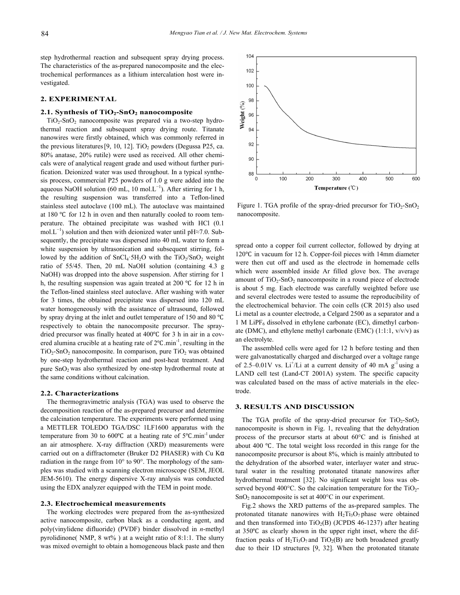step hydrothermal reaction and subsequent spray drying process. The characteristics of the as-prepared nanocomposite and the electrochemical performances as a lithium intercalation host were investigated.

# **2. EXPERIMENTAL**

## 2.1. Synthesis of TiO<sub>2</sub>-SnO<sub>2</sub> nanocomposite

 $TiO<sub>2</sub>-SnO<sub>2</sub>$  nanocomposite was prepared via a two-step hydrothermal reaction and subsequent spray drying route. Titanate nanowires were firstly obtained, which was commonly referred in the previous literatures [9, 10, 12]. TiO<sub>2</sub> powders (Degussa P25, ca. 80% anatase, 20% rutile) were used as received. All other chemicals were of analytical reagent grade and used without further purification. Deionized water was used throughout. In a typical synthesis process, commercial P25 powders of 1.0 g were added into the aqueous NaOH solution (60 mL, 10 mol. $L^{-1}$ ). After stirring for 1 h, the resulting suspension was transferred into a Teflon-lined stainless steel autoclave (100 mL). The autoclave was maintained at 180 °C for 12 h in oven and then naturally cooled to room temperature. The obtained precipitate was washed with HCl (0.1 mol. $L^{-1}$ ) solution and then with deionized water until pH≈7.0. Subsequently, the precipitate was dispersed into 40 mL water to form a white suspension by ultrasonication and subsequent stirring, followed by the addition of  $SnCl_4·5H_2O$  with the  $TiO_2/SnO_2$  weight ratio of 55/45. Then, 20 mL NaOH solution (containing 4.3 g NaOH) was dropped into the above suspension. After stirring for 1 h, the resulting suspension was again treated at 200  $\degree$ C for 12 h in the Teflon-lined stainless steel autoclave. After washing with water for 3 times, the obtained precipitate was dispersed into 120 mL water homogeneously with the assistance of ultrasound, followed by spray drying at the inlet and outlet temperature of 150 and 80 $\degree$ C respectively to obtain the nanocomposite precursor. The spraydried precursor was finally heated at 400°C for 3 h in air in a covered alumina crucible at a heating rate of  $2^{\circ}$ C.min<sup>-1</sup>, resulting in the  $TiO<sub>2</sub>-SnO<sub>2</sub>$  nanocomposite. In comparison, pure  $TiO<sub>2</sub>$  was obtained by one-step hydrothermal reaction and post-heat treatment. And pure  $SnO<sub>2</sub>$  was also synthesized by one-step hydrothermal route at the same conditions without calcination.

#### **2.2. Characterizations**

The thermogravimetric analysis (TGA) was used to observe the decomposition reaction of the as-prepared precursor and determine the calcination temperature. The experiments were performed using a METTLER TOLEDO TGA/DSC 1LF1600 apparatus with the temperature from 30 to 600 $\degree$ C at a heating rate of 5 $\degree$ C min<sup>-1</sup> under an air atmosphere. X-ray diffraction (XRD) measurements were carried out on a diffractometer (Bruker D2 PHASER) with Cu Kα radiation in the range from 10° to 90°. The morphology of the samples was studied with a scanning electron microscope (SEM, JEOL JEM-5610). The energy dispersive X-ray analysis was conducted using the EDX analyzer equipped with the TEM in point mode.

## **2.3. Electrochemical measurements**

The working electrodes were prepared from the as-synthesized active nanocomposite, carbon black as a conducting agent, and poly(vinylidene difluoride) (PVDF) binder dissolved in *n*-methyl pyrolidinone( NMP, 8 wt% ) at a weight ratio of 8:1:1. The slurry was mixed overnight to obtain a homogeneous black paste and then



Figure 1. TGA profile of the spray-dried precursor for  $TiO<sub>2</sub>-SnO<sub>2</sub>$ nanocomposite.

spread onto a copper foil current collector, followed by drying at 120 °C in vacuum for 12 h. Copper-foil pieces with 14mm diameter were then cut off and used as the electrode in homemade cells which were assembled inside Ar filled glove box. The average amount of  $TiO<sub>2</sub>-SnO<sub>2</sub>$  nanocomposite in a round piece of electrode is about 5 mg. Each electrode was carefully weighted before use and several electrodes were tested to assume the reproducibility of the electrochemical behavior. The coin cells (CR 2015) also used Li metal as a counter electrode, a Celgard 2500 as a separator and a 1 M LiPF $_6$  dissolved in ethylene carbonate (EC), dimethyl carbonate (DMC), and ethylene methyl carbonate (EMC)  $(1:1:1, v/v/v)$  as an electrolyte.

The assembled cells were aged for 12 h before testing and then were galvanostatically charged and discharged over a voltage range of 2.5–0.01V vs. Li<sup>+</sup>/Li at a current density of 40 mA  $g^{-1}$  using a LAND cell test (Land-CT 2001A) system. The specific capacity was calculated based on the mass of active materials in the electrode.

### **3. RESULTS AND DISCUSSION**

The TGA profile of the spray-dried precursor for  $TiO<sub>2</sub>-SnO<sub>2</sub>$ nanocomposite is shown in Fig. 1, revealing that the dehydration process of the precursor starts at about 60°C and is finished at about 400 °C. The total weight loss recorded in this range for the nanocomposite precursor is about 8%, which is mainly attributed to the dehydration of the absorbed water, interlayer water and structural water in the resulting protonated titanate nanowires after hydrothermal treatment [32]. No significant weight loss was observed beyond 400 $^{\circ}$ C. So the calcination temperature for the TiO<sub>2</sub>- $SnO<sub>2</sub>$  nanocomposite is set at 400 $°C$  in our experiment.

Fig.2 shows the XRD patterns of the as-prepared samples. The protonated titanate nanowires with  $H_2Ti_3O_7$  phase were obtained and then transformed into  $TiO<sub>2</sub>(B)$  (JCPDS 46-1237) after heating at 350<sup>o</sup>C as clearly shown in the upper right inset, where the diffraction peaks of  $H_2Ti_3O_7$  and  $TiO_2(B)$  are both broadened greatly due to their 1D structures [9, 32]. When the protonated titanate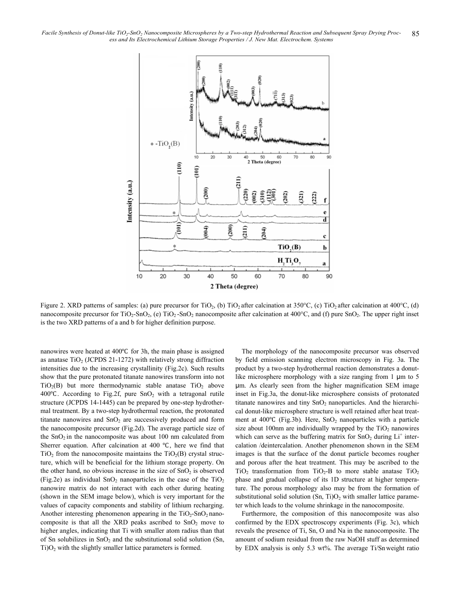Facile Synthesis of Donut-like TiO<sub>2</sub>-SnO<sub>2</sub> Nanocomposite Microspheres by a Two-step Hydrothermal Reaction and Subsequent Spray Drying Proc-85 *ess and Its Electrochemical Lithium Storage Properties / J. New Mat. Electrochem. Systems* 



Figure 2. XRD patterns of samples: (a) pure precursor for TiO<sub>2</sub>, (b) TiO<sub>2</sub> after calcination at 350°C, (c) TiO<sub>2</sub> after calcination at 400°C, (d) nanocomposite precursor for TiO<sub>2</sub>-SnO<sub>2</sub>, (e) TiO<sub>2</sub>-SnO<sub>2</sub> nanocomposite after calcination at 400°C, and (f) pure SnO<sub>2</sub>. The upper right inset is the two XRD patterns of a and b for higher definition purpose.

nanowires were heated at  $400^{\circ}$ C for 3h, the main phase is assigned as anatase  $TiO<sub>2</sub>$  (JCPDS 21-1272) with relatively strong diffraction intensities due to the increasing crystallinity (Fig.2c). Such results show that the pure protonated titanate nanowires transform into not  $TiO<sub>2</sub>(B)$  but more thermodynamic stable anatase  $TiO<sub>2</sub>$  above 400 $\degree$ C. According to Fig.2f, pure SnO<sub>2</sub> with a tetragonal rutile structure (JCPDS 14-1445) can be prepared by one-step hydrothermal treatment. By a two-step hydrothermal reaction, the protonated titanate nanowires and  $SnO<sub>2</sub>$  are successively produced and form the nanocomposite precursor (Fig.2d). The average particle size of the  $SnO<sub>2</sub>$  in the nanocomposite was about 100 nm calculated from Sherrer equation. After calcination at 400  $^{\circ}$ C, here we find that  $TiO<sub>2</sub>$  from the nanocomposite maintains the  $TiO<sub>2</sub>(B)$  crystal structure, which will be beneficial for the lithium storage property. On the other hand, no obvious increase in the size of  $SnO<sub>2</sub>$  is observed (Fig.2e) as individual  $SnO<sub>2</sub>$  nanoparticles in the case of the TiO<sub>2</sub> nanowire matrix do not interact with each other during heating (shown in the SEM image below), which is very important for the values of capacity components and stability of lithium recharging. Another interesting phenomenon appearing in the  $TiO<sub>2</sub>-SnO<sub>2</sub>$  nanocomposite is that all the XRD peaks ascribed to  $SnO<sub>2</sub>$  move to higher angles, indicating that Ti with smaller atom radius than that of Sn solubilizes in  $SnO<sub>2</sub>$  and the substitutional solid solution (Sn,  $Ti)O<sub>2</sub>$  with the slightly smaller lattice parameters is formed.

The morphology of the nanocomposite precursor was observed by field emission scanning electron microscopy in Fig. 3a. The product by a two-step hydrothermal reaction demonstrates a donutlike microsphere morphology with a size ranging from 1 μm to 5 μm. As clearly seen from the higher magnification SEM image inset in Fig.3a, the donut-like microsphere consists of protonated titanate nanowires and tiny  $SnO<sub>2</sub>$  nanoparticles. And the hierarchical donut-like microsphere structure is well retained after heat treatment at  $400^{\circ}$ C (Fig.3b). Here, SnO<sub>2</sub> nanoparticles with a particle size about 100nm are individually wrapped by the  $TiO<sub>2</sub>$  nanowires which can serve as the buffering matrix for  $SnO<sub>2</sub>$  during  $Li<sup>+</sup>$  intercalation /deintercalation. Another phenomenon shown in the SEM images is that the surface of the donut particle becomes rougher and porous after the heat treatment. This may be ascribed to the  $TiO<sub>2</sub>$  transformation from  $TiO<sub>2</sub>-B$  to more stable anatase  $TiO<sub>2</sub>$ phase and gradual collapse of its 1D structure at higher temperature. The porous morphology also may be from the formation of substitutional solid solution  $(Sn, Ti)O<sub>2</sub>$  with smaller lattice parameter which leads to the volume shrinkage in the nanocomposite.

Furthermore, the composition of this nanocomposite was also confirmed by the EDX spectroscopy experiments (Fig. 3c), which reveals the presence of Ti, Sn, O and Na in the nanocomposite. The amount of sodium residual from the raw NaOH stuff as determined by EDX analysis is only 5.3 wt%. The average Ti/Sn weight ratio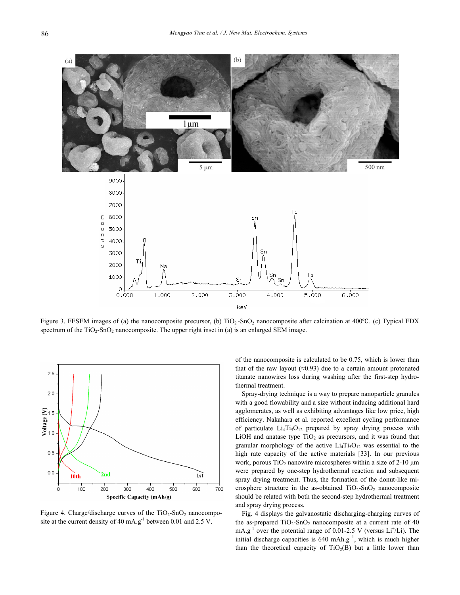

Figure 3. FESEM images of (a) the nanocomposite precursor, (b)  $TiO<sub>2</sub>$ -SnO<sub>2</sub> nanocomposite after calcination at 400 $^{\circ}$ C. (c) Typical EDX spectrum of the TiO<sub>2</sub>-SnO<sub>2</sub> nanocomposite. The upper right inset in (a) is an enlarged SEM image.



Figure 4. Charge/discharge curves of the  $TiO<sub>2</sub>-SnO<sub>2</sub>$  nanocomposite at the current density of 40 mA.g<sup>-1</sup> between 0.01 and 2.5 V.

of the nanocomposite is calculated to be 0.75, which is lower than that of the raw layout  $(\approx 0.93)$  due to a certain amount protonated titanate nanowires loss during washing after the first-step hydrothermal treatment.

Spray-drying technique is a way to prepare nanoparticle granules with a good flowability and a size without inducing additional hard agglomerates, as well as exhibiting advantages like low price, high efficiency. Nakahara et al. reported excellent cycling performance of particulate  $Li<sub>4</sub>Ti<sub>5</sub>O<sub>12</sub>$  prepared by spray drying process with LiOH and anatase type  $TiO<sub>2</sub>$  as precursors, and it was found that granular morphology of the active  $Li<sub>4</sub>Ti<sub>5</sub>O<sub>12</sub>$  was essential to the high rate capacity of the active materials [33]. In our previous work, porous  $TiO<sub>2</sub>$  nanowire microspheres within a size of 2-10  $\mu$ m were prepared by one-step hydrothermal reaction and subsequent spray drying treatment. Thus, the formation of the donut-like microsphere structure in the as-obtained  $TiO<sub>2</sub>-SnO<sub>2</sub>$  nanocomposite should be related with both the second-step hydrothermal treatment and spray drying process.

Fig. 4 displays the galvanostatic discharging-charging curves of the as-prepared  $TiO_2$ -Sn $O_2$  nanocomposite at a current rate of 40  $mA.g^{-1}$  over the potential range of 0.01-2.5 V (versus Li<sup>+</sup>/Li). The initial discharge capacities is  $640 \text{ mA} \text{h} \cdot \text{s}^{-1}$ , which is much higher than the theoretical capacity of  $TiO<sub>2</sub>(B)$  but a little lower than